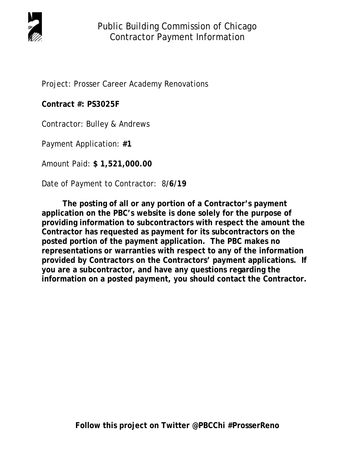

Project: Prosser Career Academy Renovations

**Contract #: PS3025F** 

Contractor: Bulley & Andrews

Payment Application: **#1** 

Amount Paid: **\$ 1,521,000.00** 

Date of Payment to Contractor: 8**/6/19** 

 **The posting of all or any portion of a Contractor's payment application on the PBC's website is done solely for the purpose of providing information to subcontractors with respect the amount the Contractor has requested as payment for its subcontractors on the posted portion of the payment application. The PBC makes no representations or warranties with respect to any of the information provided by Contractors on the Contractors' payment applications. If you are a subcontractor, and have any questions regarding the information on a posted payment, you should contact the Contractor.**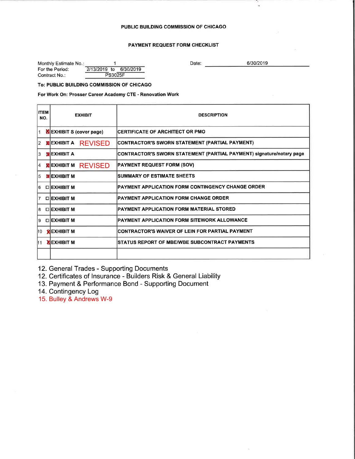# PAYMENT REQUEST FORM CHECKLIST

| Monthly Estimate No.: |                |  |                        |  |  |
|-----------------------|----------------|--|------------------------|--|--|
| For the Period:       |                |  | 2/13/2019 to 6/30/2019 |  |  |
| Contract No.:         | <b>PS3025F</b> |  |                        |  |  |

Date:

6/30/2019

### To: PUBLIC BUILDING COMMISSION OF CHICAGO

# For Work On: Prosser Career Academy CTE - Renovation Work

| <b>ITEM</b><br>NO. | <b>EXHIBIT</b>                 | <b>DESCRIPTION</b>                                                          |  |  |  |  |
|--------------------|--------------------------------|-----------------------------------------------------------------------------|--|--|--|--|
|                    | <b>NEXHIBIT S (cover page)</b> | <b>CERTIFICATE OF ARCHITECT OR PMO</b>                                      |  |  |  |  |
| 12.                | <b>EXHIBIT A REVISED</b>       | CONTRACTOR'S SWORN STATEMENT (PARTIAL PAYMENT)                              |  |  |  |  |
| 3                  | <b>MEXHIBIT A</b>              | <b>CONTRACTOR'S SWORN STATEMENT (PARTIAL PAYMENT) signature/notary page</b> |  |  |  |  |
| 4                  | <b>MEXHIBIT M REVISED</b>      | <b>PAYMENT REQUEST FORM (SOV)</b>                                           |  |  |  |  |
| 15.                | <b>MEXHIBIT M</b>              | <b>SUMMARY OF ESTIMATE SHEETS</b>                                           |  |  |  |  |
| 6                  | <b>OLEXHIBIT M</b>             | <b>PAYMENT APPLICATION FORM CONTINGENCY CHANGE ORDER</b>                    |  |  |  |  |
| 17.                | <b>OLEXHIBIT M</b>             | <b>PAYMENT APPLICATION FORM CHANGE ORDER</b>                                |  |  |  |  |
| 61                 | <b>□IEXHIBIT M</b>             | <b>PAYMENT APPLICATION FORM MATERIAL STORED</b>                             |  |  |  |  |
| 8                  | <b>LUEXHIBIT M</b>             | PAYMENT APPLICATION FORM SITEWORK ALLOWANCE                                 |  |  |  |  |
|                    | 10 <b>KJEXHIBIT M</b>          | CONTRACTOR'S WAIVER OF LEIN FOR PARTIAL PAYMENT                             |  |  |  |  |
|                    | 11 <b>XIEXHIBIT M</b>          | <b>ISTATUS REPORT OF MBE/WBE SUBCONTRACT PAYMENTS</b>                       |  |  |  |  |
|                    |                                |                                                                             |  |  |  |  |

12. General Trades - Supporting Documents

12. Certificates of Insurance - Builders Risk & General Liability

13. Payment & Performance Bond - Supporting Document

14. Contingency Log

15. Bulley & Andrews W-9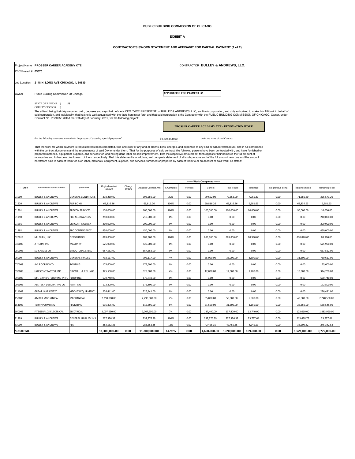## **PUBLIC BUILDING COMMISSION OF CHICAGO**

#### **EXHIBIT A**

## **CONTRACTOR'S SWORN STATEMENT AND AFFIDAVIT FOR PARTIAL PAYMENT (1 of 2)**

|                     | CONTRACTOR BULLEY & ANDREWS, LLC.<br>Project Name PROSSER CAREER ACADEMY CTE                                                                                                                                                                                                                                                                                                                                                |                               |                   |        |                       |                |          |                                   |               |            |                      |                |                   |
|---------------------|-----------------------------------------------------------------------------------------------------------------------------------------------------------------------------------------------------------------------------------------------------------------------------------------------------------------------------------------------------------------------------------------------------------------------------|-------------------------------|-------------------|--------|-----------------------|----------------|----------|-----------------------------------|---------------|------------|----------------------|----------------|-------------------|
| PBC Project # 05375 |                                                                                                                                                                                                                                                                                                                                                                                                                             |                               |                   |        |                       |                |          |                                   |               |            |                      |                |                   |
|                     |                                                                                                                                                                                                                                                                                                                                                                                                                             |                               |                   |        |                       |                |          |                                   |               |            |                      |                |                   |
|                     | Job Location 2148 N. LONG AVE CHICAGO, IL 60639                                                                                                                                                                                                                                                                                                                                                                             |                               |                   |        |                       |                |          |                                   |               |            |                      |                |                   |
| Owner               | <b>APPLICATION FOR PAYMENT #1</b><br>Public Building Commission Of Chicago                                                                                                                                                                                                                                                                                                                                                  |                               |                   |        |                       |                |          |                                   |               |            |                      |                |                   |
|                     |                                                                                                                                                                                                                                                                                                                                                                                                                             |                               |                   |        |                       |                |          |                                   |               |            |                      |                |                   |
|                     | STATE OF ILLINOIS }<br>COUNTY OF COOK                                                                                                                                                                                                                                                                                                                                                                                       | SS                            |                   |        |                       |                |          |                                   |               |            |                      |                |                   |
|                     | The affiant, being first duly swom on oath, deposes and says that he/she is CFO / VICE PRESIDENT, of BULLEY & ANDREWS, LLC, an Illinois corporation, and duly authorized to make this Affidavit in behalf of<br>said corporation, and individually; that he/she is well acquainted with the facts herein set forth and that said corporation is the Contractor with the PUBLIC BUILDING COMMISSION OF CHICAGO, Owner, under |                               |                   |        |                       |                |          |                                   |               |            |                      |                |                   |
|                     | Contract No. PS3025F dated the 13th day of February, 2019, for the following project:                                                                                                                                                                                                                                                                                                                                       |                               |                   |        |                       |                |          |                                   |               |            |                      |                |                   |
|                     | PROSSER CAREER ACADEMY CTE - RENOVATION WORK                                                                                                                                                                                                                                                                                                                                                                                |                               |                   |        |                       |                |          |                                   |               |            |                      |                |                   |
|                     |                                                                                                                                                                                                                                                                                                                                                                                                                             |                               |                   |        |                       |                |          |                                   |               |            |                      |                |                   |
|                     | that the following statements are made for the purpose of procuring a partial payment of                                                                                                                                                                                                                                                                                                                                    |                               |                   |        |                       | \$1,521,000.00 |          | under the terms of said Contract; |               |            |                      |                |                   |
|                     | That the work for which payment is requested has been completed, free and clear of any and all claims, liens, charges, and expenses of any kind or nature whatsoever, and in full compliance                                                                                                                                                                                                                                |                               |                   |        |                       |                |          |                                   |               |            |                      |                |                   |
|                     | with the contract documents and the requirements of said Owner under them. That for the purposes of said contract, the following persons have been contracted with, and have furnished or<br>prepared materials, equipment, supplies, and services for, and having done labor on said improvement. That the respective amounts set forth opposite their names is the full amount of                                         |                               |                   |        |                       |                |          |                                   |               |            |                      |                |                   |
|                     | money due and to become due to each of them respectively. That this statement is a full, true, and complete statement of all such persons and of the full amount now due and the amount<br>heretofore paid to each of them for such labor, materials, equipment, supplies, and services, furnished or prepared by each of them to or on account of said work, as stated:                                                    |                               |                   |        |                       |                |          |                                   |               |            |                      |                |                   |
|                     |                                                                                                                                                                                                                                                                                                                                                                                                                             |                               |                   |        |                       |                |          |                                   |               |            |                      |                |                   |
|                     |                                                                                                                                                                                                                                                                                                                                                                                                                             |                               |                   |        |                       |                |          |                                   |               |            |                      |                |                   |
|                     |                                                                                                                                                                                                                                                                                                                                                                                                                             |                               |                   |        |                       |                |          | ---Work Completed--               |               |            |                      |                |                   |
| ITEM#               | Subcontractor Name & Address                                                                                                                                                                                                                                                                                                                                                                                                | Type of Work                  | Original contract | Change | Adjusted Contract Amt | % Complete     | Previous | Current                           | Total to date | retainage  | net previous billing | net amount due | remaining to bill |
|                     |                                                                                                                                                                                                                                                                                                                                                                                                                             |                               | amount            | Orders |                       |                |          |                                   |               |            |                      |                |                   |
| 01000               | <b>BULLEY &amp; ANDREWS</b>                                                                                                                                                                                                                                                                                                                                                                                                 | <b>GENERAL CONDITIONS</b>     | 398,260.00        |        | 398,260.00            | 20%            | 0.00     | 79,652.00                         | 79,652.00     | 7,965.20   | 0.00                 | 71,686.80      | 326,573.20        |
| 01520               | <b>BULLEY &amp; ANDREWS</b>                                                                                                                                                                                                                                                                                                                                                                                                 | P&P BOND                      | 69,816.26         |        | 69,816.26             | 100%           | 0.00     | 69,816.26                         | 69,816.26     | 6,981.63   | 0.00                 | 62,834.63      | 6,981.63          |
| 01701               | <b>BULLEY &amp; ANDREWS</b>                                                                                                                                                                                                                                                                                                                                                                                                 | PRECON SERVICES               | 100,000.00        |        | 100,000.00            | 100%           | 0.00     | 100,000.00                        | 100,000.00    | 10,000,00  | 0.00                 | 90,000.00      | 10.000.00         |
| 01990               | <b>BULLEY &amp; ANDREWS</b>                                                                                                                                                                                                                                                                                                                                                                                                 | PBC ALLOWANCES                | 210,000.00        |        | 210,000.00            | 0%             | 0.00     | 0.00                              | 0.00          | 0.00       | 0.00                 | 0.00           | 210,000.00        |
| 01991               | <b>BULLEY &amp; ANDREWS</b>                                                                                                                                                                                                                                                                                                                                                                                                 | CM CONTINGENCY                | 200,000.00        |        | 200,000.00            | 0%             | 0.00     | 0.00                              | 0.00          | 0.00       | 0.00                 | 0.00           | 200,000.00        |
| 01992               | <b>BULLEY &amp; ANDREWS</b>                                                                                                                                                                                                                                                                                                                                                                                                 | PBC CONTINGENCY               | 450,000.00        |        | 450,000.00            | 0%             | 0.00     | 0.00                              | 0.00          | 0.00       | 0.00                 | 0.00           | 450,000.00        |
| 02001S              | MILBURN, LLC                                                                                                                                                                                                                                                                                                                                                                                                                | DEMOLITION                    | 889,800.00        |        | 889,800.00            | 100%           | 0.00     | 889,800.00                        | 889,800.00    | 88,980.00  | 0.00                 | 800,820.00     | 88,980.00         |
| 04000S              | HORN, INC                                                                                                                                                                                                                                                                                                                                                                                                                   | <b>MASONRY</b>                | 525,900.00        |        | 525,900.00            | 0%             | 0.00     | 0.00                              | 0.00          | 0.00       | 0.00                 | 0.00           | 525,900.00        |
| 05000S              | SG KRAUSS CO                                                                                                                                                                                                                                                                                                                                                                                                                | STRUCTURAL STEEL              | 657,552.00        |        | 657,552.00            | 0%             | 0.00     | 0.00                              | 0.00          | 0.00       | 0.00                 | 0.00           | 657,552.00        |
| 06000               | <b>BULLEY &amp; ANDREWS</b>                                                                                                                                                                                                                                                                                                                                                                                                 | <b>GENERAL TRADES</b>         | 792,117.00        |        | 792,117.00            | 4%             | 0.00     | 35,000.00                         | 35,000.00     | 3,500.00   | 0.00                 | 31,500.00      | 760,617.00        |
| 07000S              | -1 ROOFING CO                                                                                                                                                                                                                                                                                                                                                                                                               | <b>ROOFING</b>                | 175,600.00        |        | 175,600.00            | 0%             | 0.00     | 0.00                              | 0.00          | 0.00       | 0.00                 | 0.00           | 175,600.00        |
| 09000S              | H&P CONTRACTOR, INC                                                                                                                                                                                                                                                                                                                                                                                                         | DRYWALL & CEILINGS            | 325,500.00        |        | 325,500.00            | 4%             | 0.00     | 12,000.00                         | 12,000.00     | 1,200.00   | 0.00                 | 10,800.00      | 314,700.00        |
| 09600S              | MR. DAVID'S FLOORING INT'L                                                                                                                                                                                                                                                                                                                                                                                                  | <b>FLOORING</b>               | 670,740.00        |        | 670,740.00            | 0%             | 0.00     | 0.00                              | 0.00          | 0.00       | 0.00                 | 0.00           | 670,740.00        |
| 09900S              | ALL-TECH DECORATING CO                                                                                                                                                                                                                                                                                                                                                                                                      | <b>PAINTING</b>               | 172,800.00        |        | 172,800.00            | 0%             | 0.00     | 0.00                              | 0.00          | 0.00       | 0.00                 | 0.00           | 172,800.00        |
| 11100S              | <b>GREAT LAKES WEST</b>                                                                                                                                                                                                                                                                                                                                                                                                     | <b>ITCHEN EQUIPMENT</b>       | 226,441.00        |        | 226,441.00            | 0%             | 0.00     | 0.00                              | 0.00          | 0.00       | 0.00                 | 0.00           | 226,441.00        |
| 15000S              | <b>MBER MECHANICAL</b>                                                                                                                                                                                                                                                                                                                                                                                                      | MECHANICAL                    | 2,290,000.00      |        | 2,290,000.00          | 2%             | 0.00     | 55,000.00                         | 55,000.00     | 5,500.00   | 0.00                 | 49,500.00      | 2,240,500.00      |
| 15400S              | TERRY PLUMBING                                                                                                                                                                                                                                                                                                                                                                                                              | PLUMBING                      | 616,895.00        |        | 616.895.00            | 5%             | 0.00     | 31.500.00                         | 31,500.00     | 3.150.00   | 0.00                 | 28,350.00      | 588.545.00        |
| 16000S              | FITZGERALDS ELECTRICAL                                                                                                                                                                                                                                                                                                                                                                                                      | ELECTRICAL                    | 2,007,650.00      |        | 2,007,650.00          | 7%             | 0.00     | 137,400.00                        | 137,400.00    | 13,740.00  | 0.00                 | 123,660.00     | 1,883,990.00      |
| 31999               | <b>BULLEY &amp; ANDREWS</b>                                                                                                                                                                                                                                                                                                                                                                                                 | <b>GENERAL LIABILITY INS.</b> | 237,376.39        |        | 237,376.39            | 100%           | 0.00     | 237,376.39                        | 237,376.39    | 23,737.64  | 0.00                 | 213,638.75     | 23,737.64         |
| 83000               | <b>BULLEY &amp; ANDREWS</b>                                                                                                                                                                                                                                                                                                                                                                                                 | FFF                           | 283,552.35        |        | 283,552.35            | 15%            | 0.00     | 42,455.35                         | 42,455.35     | 4,245.53   | 0.00                 | 38,209.82      | 245,342.53        |
| <b>SUBTOTAL</b>     |                                                                                                                                                                                                                                                                                                                                                                                                                             |                               | 11,300,000.00     | 0.00   | 11,300,000.00         | 14.96%         | 0.00     | 1,690,000.00                      | 1,690,000.00  | 169,000.00 | 0.00                 | 1,521,000.00   | 9,779,000.00      |